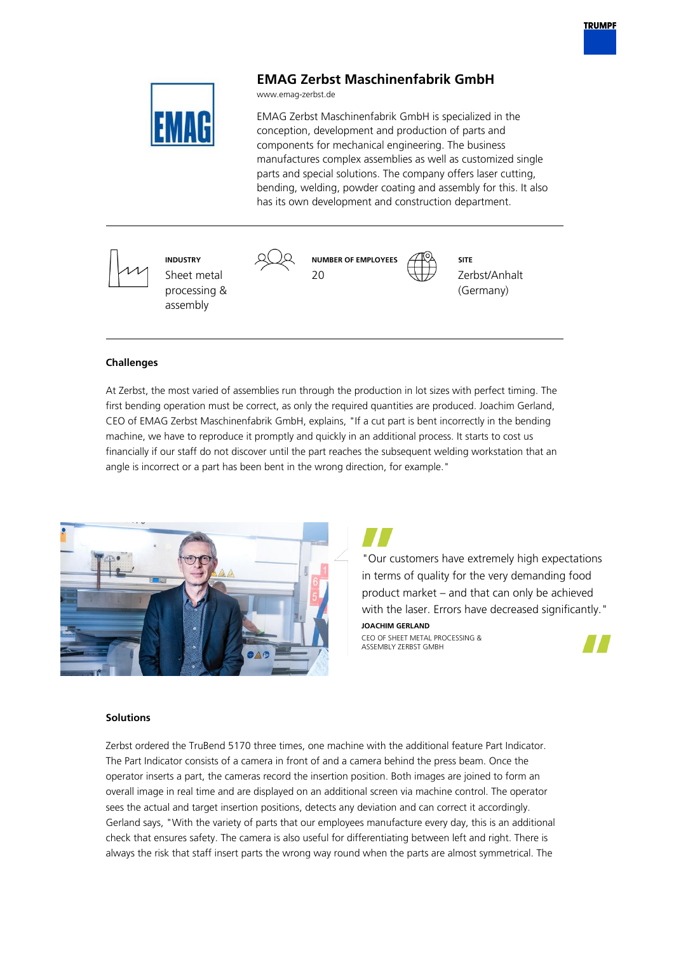

# **EMAG Zerbst Maschinenfabrik GmbH**

www.emag-zerbst.de

EMAG Zerbst Maschinenfabrik GmbH is specialized in the conception, development and production of parts and components for mechanical engineering. The business manufactures complex assemblies as well as customized single parts and special solutions. The company offers laser cutting, bending, welding, powder coating and assembly for this. It also has its own development and construction department.

**INDUSTRY** Sheet metal processing & assembly



**SITE** Zerbst/Anhalt (Germany)

## **Challenges**

At Zerbst, the most varied of assemblies run through the production in lot sizes with perfect timing. The first bending operation must be correct, as only the required quantities are produced. Joachim Gerland, CEO of EMAG Zerbst Maschinenfabrik GmbH, explains, "If a cut part is bent incorrectly in the bending machine, we have to reproduce it promptly and quickly in an additional process. It starts to cost us financially if our staff do not discover until the part reaches the subsequent welding workstation that an angle is incorrect or a part has been bent in the wrong direction, for example."



"Our customers have extremely high expectations in terms of quality for the very demanding food product market – and that can only be achieved with the laser. Errors have decreased significantly."

#### **JOACHIM GERLAND**

CEO OF SHEET METAL PROCESSING & ASSEMBLY ZERBST GMBH



### **Solutions**

Zerbst ordered the TruBend 5170 three times, one machine with the additional feature Part Indicator. The Part Indicator consists of a camera in front of and a camera behind the press beam. Once the operator inserts a part, the cameras record the insertion position. Both images are joined to form an overall image in real time and are displayed on an additional screen via machine control. The operator sees the actual and target insertion positions, detects any deviation and can correct it accordingly. Gerland says, "With the variety of parts that our employees manufacture every day, this is an additional check that ensures safety. The camera is also useful for differentiating between left and right. There is always the risk that staff insert parts the wrong way round when the parts are almost symmetrical. The